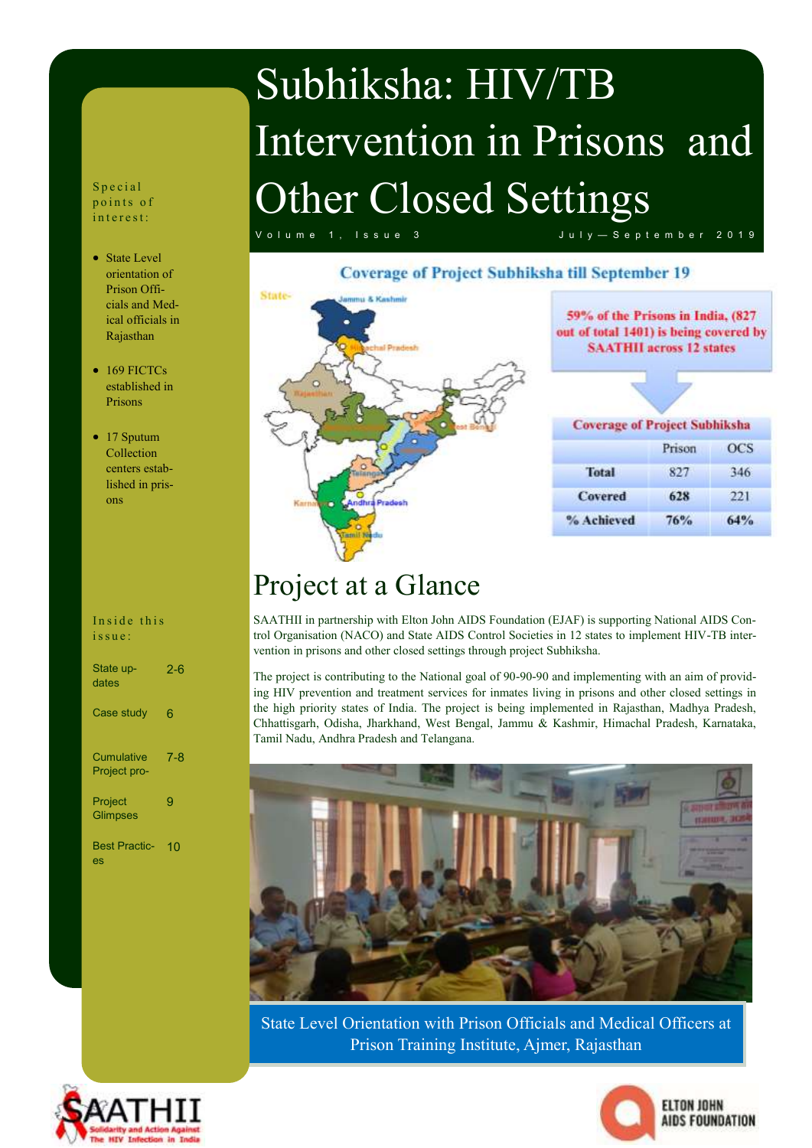## Subhiksha: HIV/TB Intervention in Prisons and Other Closed Settings

V o l u m e 1, I s s u e 3 J u l y  $-$  S e p t e m b e r 2019

#### **Coverage of Project Subhiksha till September 19**



59% of the Prisons in India, (827 out of total 1401) is being covered by **SAATHII** across 12 states

| <b>Coverage of Project Subhiksha</b> |        |            |  |
|--------------------------------------|--------|------------|--|
|                                      | Prison | <b>OCS</b> |  |
| Total                                | 827    | 346        |  |
| <b>Covered</b>                       | 628    | 221        |  |
| % Achieved                           | 76%    | 64%        |  |

### Project at a Glance

SAATHII in partnership with Elton John AIDS Foundation (EJAF) is supporting National AIDS Control Organisation (NACO) and State AIDS Control Societies in 12 states to implement HIV-TB intervention in prisons and other closed settings through project Subhiksha.

The project is contributing to the National goal of 90-90-90 and implementing with an aim of providing HIV prevention and treatment services for inmates living in prisons and other closed settings in the high priority states of India. The project is being implemented in Rajasthan, Madhya Pradesh, Chhattisgarh, Odisha, Jharkhand, West Bengal, Jammu & Kashmir, Himachal Pradesh, Karnataka, Tamil Nadu, Andhra Pradesh and Telangana.



State Level Orientation with Prison Officials and Medical Officers at Prison Training Institute, Ajmer, Rajasthan





S p e c i a l points of in terest:

- State Level orientation of Prison Officials and Medical officials in Rajasthan
- 169 FICTCs established in Prisons
- 17 Sputum Collection centers established in prisons

Inside this issue:

| State up-<br>dates                | $2 - 6$ |
|-----------------------------------|---------|
| Case study                        | 6       |
| <b>Cumulative</b><br>Project pro- | $7 - 8$ |
| Project<br><b>Glimpses</b>        | g       |
| <b>Best Practic-</b><br>es        | 10      |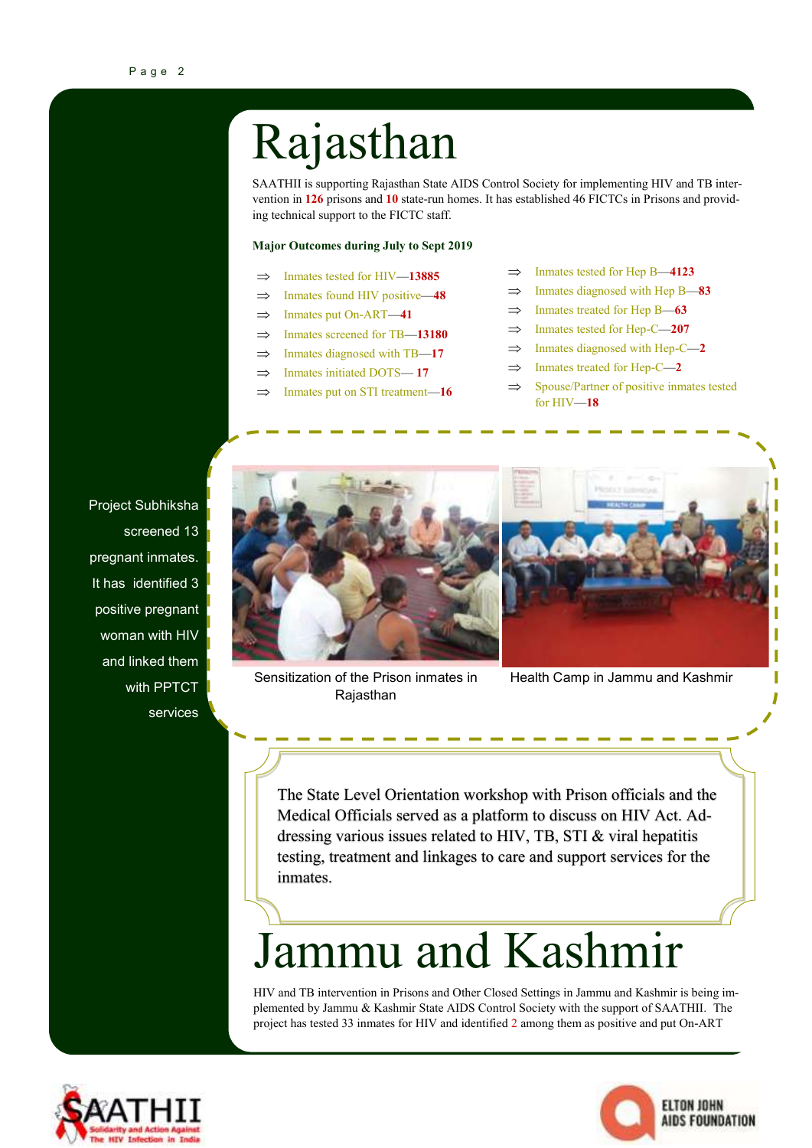## Rajasthan

SAATHII is supporting Rajasthan State AIDS Control Society for implementing HIV and TB intervention in **126** prisons and **10** state-run homes. It has established 46 FICTCs in Prisons and providing technical support to the FICTC staff.

#### **Major Outcomes during July to Sept 2019**

- $\implies$  Inmates tested for HIV—13885
- $\implies$  Inmates found HIV positive—48
- $\Rightarrow$  Inmates put On-ART—41
- $\implies$  Inmates screened for TB—**13180**
- $\implies$  Inmates diagnosed with TB—17
- $\Rightarrow$  Inmates initiated DOTS-17
- $\Rightarrow$  Inmates put on STI treatment-16
- $\implies$  Inmates tested for Hep B—4123
- $\implies$  Inmates diagnosed with Hep B-83
- $\Rightarrow$  Inmates treated for Hep B—63
- $\implies$  Inmates tested for Hep-C—207
- $\implies$  Inmates diagnosed with Hep-C—2
- $\implies$  Inmates treated for Hep-C—2
- $\implies$  Spouse/Partner of positive inmates tested for HIV—**18**

Project Subhiksha screened 13 pregnant inmates. It has identified 3 positive pregnant woman with HIV and linked them with PPTCT services



Sensitization of the Prison inmates in **Rajasthan** 



Health Camp in Jammu and Kashmir

The State Level Orientation workshop with Prison officials and the Medical Officials served as a platform to discuss on HIV Act. Addressing various issues related to HIV, TB, STI & viral hepatitis testing, treatment and linkages to care and support services for the inmates.

### Jammu and Kashmir

HIV and TB intervention in Prisons and Other Closed Settings in Jammu and Kashmir is being implemented by Jammu & Kashmir State AIDS Control Society with the support of SAATHII. The project has tested 33 inmates for HIV and identified 2 among them as positive and put On-ART



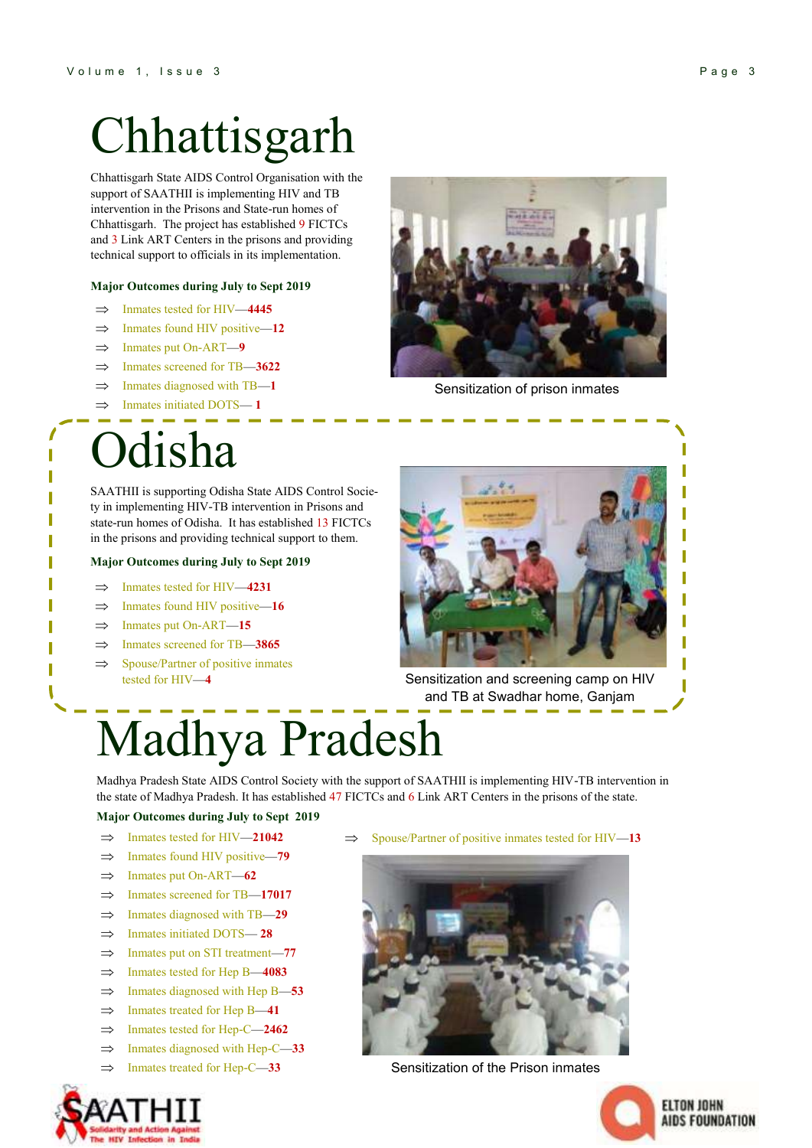## Chhattisgarh

Chhattisgarh State AIDS Control Organisation with the support of SAATHII is implementing HIV and TB intervention in the Prisons and State-run homes of Chhattisgarh. The project has established 9 FICTCs and 3 Link ART Centers in the prisons and providing technical support to officials in its implementation.

#### **Major Outcomes during July to Sept 2019**

- Inmates tested for HIV—**4445**
- $\implies$  Inmates found HIV positive—12
- Inmates put On-ART—**9**
- $\implies$  Inmates screened for TB—3622
- Inmates diagnosed with TB—**1**
- Inmates initiated DOTS— **1**

### lisha

SAATHII is supporting Odisha State AIDS Control Society in implementing HIV-TB intervention in Prisons and state-run homes of Odisha. It has established 13 FICTCs in the prisons and providing technical support to them.

#### **Major Outcomes during July to Sept 2019**

- $\Rightarrow$  Inmates tested for HIV—4231
- $\implies$  Inmates found HIV positive—16
- Inmates put On-ART—**15**
- Inmates screened for TB—**3865**
- $\implies$  Spouse/Partner of positive inmates
	-



Sensitization of prison inmates



tested for HIV—**4** Sensitization and screening camp on HIV and TB at Swadhar home, Ganjam

## Madhya Pradesh

Madhya Pradesh State AIDS Control Society with the support of SAATHII is implementing HIV-TB intervention in the state of Madhya Pradesh. It has established 47 FICTCs and 6 Link ART Centers in the prisons of the state.

#### **Major Outcomes during July to Sept 2019**

- $\implies$  Inmates tested for HIV—21042
- $\implies$  Inmates found HIV positive—79
- $\implies$  Inmates put On-ART—62
- $\implies$  Inmates screened for TB—**17017**
- $\implies$  Inmates diagnosed with TB—29
- Inmates initiated DOTS— **28**
- $\Rightarrow$  Inmates put on STI treatment-77
- $\implies$  Inmates tested for Hep B—4083
- $\implies$  Inmates diagnosed with Hep B—53
- $\implies$  Inmates treated for Hep B—41
- $\implies$  Inmates tested for Hep-C—**2462**
- $\implies$  Inmates diagnosed with Hep-C—33
- $\Rightarrow$  Inmates treated for Hep-C—33

 $\Rightarrow$  Spouse/Partner of positive inmates tested for HIV—13



Sensitization of the Prison inmates



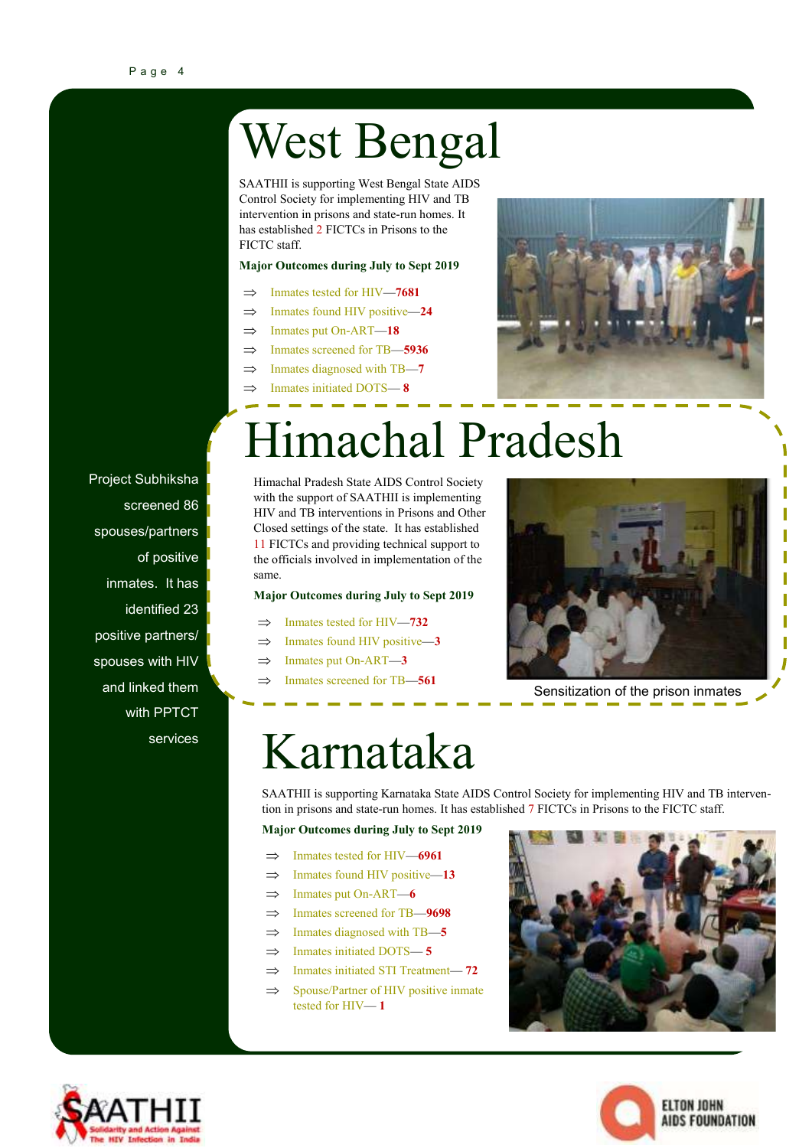Project Subhiksha

spouses/partners

inmates. It has identified 23

positive partners/ spouses with HIV and linked them

with PPTCT

services

screened 86

of positive

## West Bengal

SAATHII is supporting West Bengal State AIDS Control Society for implementing HIV and TB intervention in prisons and state-run homes. It has established 2 FICTCs in Prisons to the FICTC staff.

#### **Major Outcomes during July to Sept 2019**

- Inmates tested for HIV—**7681**
- $\implies$  Inmates found HIV positive—24
- $\implies$  Inmates put On-ART—18
- $\Rightarrow$  Inmates screened for TB—5936
- Inmates diagnosed with TB—**7**
- Inmates initiated DOTS— **8**



### Himachal Pradesh

Himachal Pradesh State AIDS Control Society with the support of SAATHII is implementing HIV and TB interventions in Prisons and Other Closed settings of the state. It has established 11 FICTCs and providing technical support to the officials involved in implementation of the same.

#### **Major Outcomes during July to Sept 2019**

- $\implies$  Inmates tested for HIV—732
- Inmates found HIV positive—**3**
- $\Rightarrow$  Inmates put On-ART—3
- $\Rightarrow$  Inmates screened for TB—561



Sensitization of the prison inmates

### Karnataka

SAATHII is supporting Karnataka State AIDS Control Society for implementing HIV and TB intervention in prisons and state-run homes. It has established 7 FICTCs in Prisons to the FICTC staff.

**Major Outcomes during July to Sept 2019**

- $\implies$  Inmates tested for HIV—6961
- $\implies$  Inmates found HIV positive—13
- $\implies$  Inmates put On-ART—6
- Inmates screened for TB—**9698**
- $\implies$  Inmates diagnosed with TB—5
- $\Rightarrow$  Inmates initiated DOTS—5
- $\implies$  Inmates initiated STI Treatment-72
- $\implies$  Spouse/Partner of HIV positive inmate tested for HIV— **1**





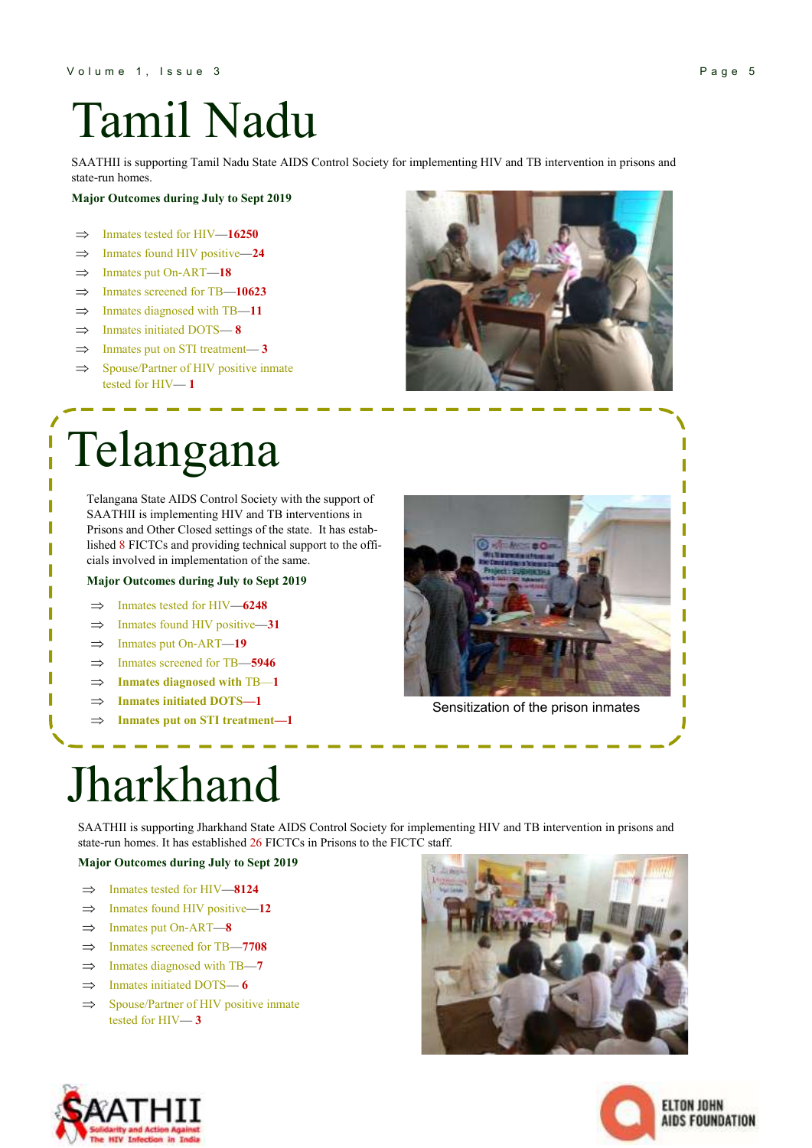## Tamil Nadu

SAATHII is supporting Tamil Nadu State AIDS Control Society for implementing HIV and TB intervention in prisons and state-run homes.

#### **Major Outcomes during July to Sept 2019**

- $\implies$  Inmates tested for HIV—16250
- $\implies$  Inmates found HIV positive—24
- $\Rightarrow$  Inmates put On-ART—18
- $\implies$  Inmates screened for TB—10623
- $\implies$  Inmates diagnosed with TB—11
- $\implies$  Inmates initiated DOTS—8
- $\Rightarrow$  Inmates put on STI treatment-3
- $\implies$  Spouse/Partner of HIV positive inmate tested for HIV— **1**

### Telangana

 $\overline{\mathbf{r}}$ 

T

Telangana State AIDS Control Society with the support of SAATHII is implementing HIV and TB interventions in Prisons and Other Closed settings of the state. It has established 8 FICTCs and providing technical support to the officials involved in implementation of the same.

#### **Major Outcomes during July to Sept 2019**

- $\implies$  Inmates tested for HIV—6248
- $\Rightarrow$  Inmates found HIV positive-31
- Inmates put On-ART—**19**
- Inmates screened for TB—**5946**
- $\Rightarrow$  **Inmates diagnosed with TB—1**
- **Inmates initiated DOTS—1**
- **Inmates put on STI treatment—1**

Sensitization of the prison inmates

### Jharkhand

SAATHII is supporting Jharkhand State AIDS Control Society for implementing HIV and TB intervention in prisons and state-run homes. It has established 26 FICTCs in Prisons to the FICTC staff.

#### **Major Outcomes during July to Sept 2019**

- $\implies$  Inmates tested for HIV—8124
- $\implies$  Inmates found HIV positive—12
- $\Rightarrow$  Inmates put On-ART—8
- $\implies$  Inmates screened for TB—7708
- $\implies$  Inmates diagnosed with TB—7
- $\implies$  Inmates initiated DOTS—6
- $\implies$  Spouse/Partner of HIV positive inmate tested for HIV— **3**





ľ Г Π ı I

ſ ſ Г Ī

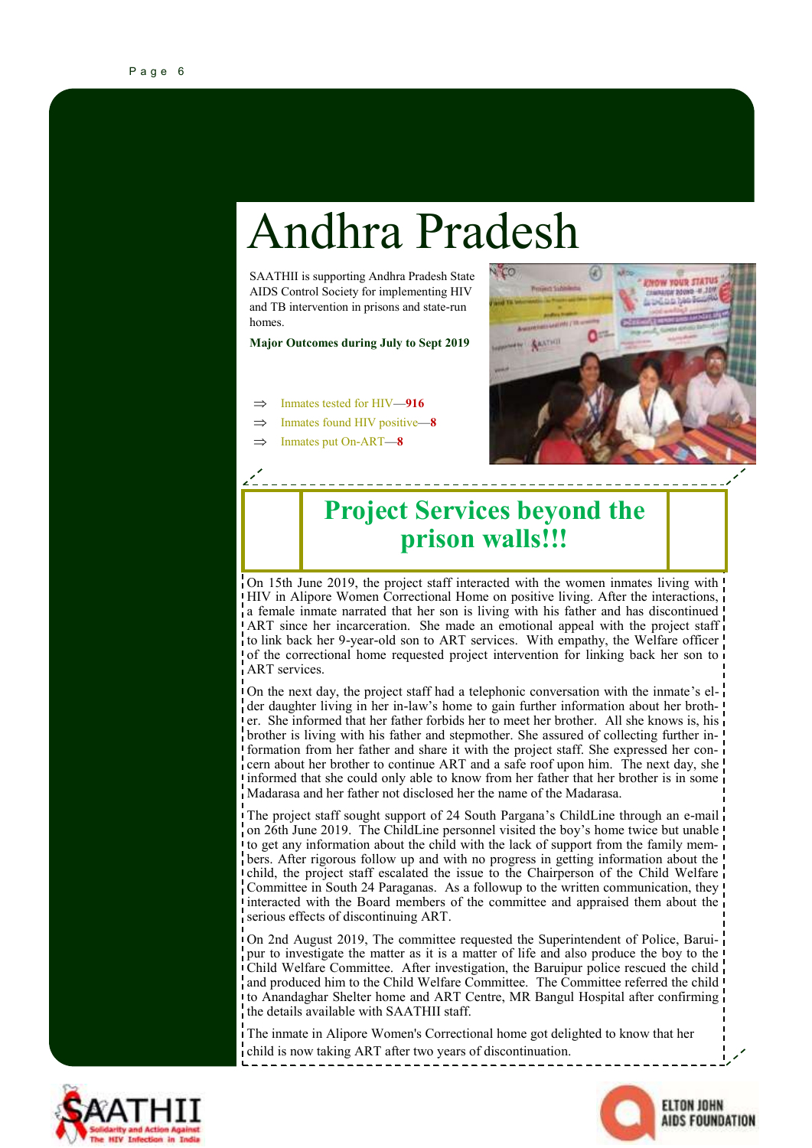### Andhra Pradesh

SAATHII is supporting Andhra Pradesh State AIDS Control Society for implementing HIV and TB intervention in prisons and state-run homes.

**Major Outcomes during July to Sept 2019**

- Inmates tested for HIV—**916**
- Inmates found HIV positive—**8**
- Inmates put On-ART—**8**



### **Project Services beyond the prison walls!!!**

On 15th June 2019, the project staff interacted with the women inmates living with HIV in Alipore Women Correctional Home on positive living. After the interactions, a female inmate narrated that her son is living with his father and has discontinued ART since her incarceration. She made an emotional appeal with the project staff to link back her 9-year-old son to ART services. With empathy, the Welfare officer of the correctional home requested project intervention for linking back her son to ART services.

On the next day, the project staff had a telephonic conversation with the inmate's elder daughter living in her in-law's home to gain further information about her brother. She informed that her father forbids her to meet her brother. All she knows is, his brother is living with his father and stepmother. She assured of collecting further information from her father and share it with the project staff. She expressed her concern about her brother to continue ART and a safe roof upon him. The next day, she informed that she could only able to know from her father that her brother is in some Madarasa and her father not disclosed her the name of the Madarasa.

The project staff sought support of 24 South Pargana's ChildLine through an e-mail on 26th June 2019. The ChildLine personnel visited the boy's home twice but unable to get any information about the child with the lack of support from the family members. After rigorous follow up and with no progress in getting information about the child, the project staff escalated the issue to the Chairperson of the Child Welfare Committee in South 24 Paraganas. As a followup to the written communication, they interacted with the Board members of the committee and appraised them about the serious effects of discontinuing ART.

On 2nd August 2019, The committee requested the Superintendent of Police, Baruipur to investigate the matter as it is a matter of life and also produce the boy to the Child Welfare Committee. After investigation, the Baruipur police rescued the child and produced him to the Child Welfare Committee. The Committee referred the child to Anandaghar Shelter home and ART Centre, MR Bangul Hospital after confirming the details available with SAATHII staff.

The inmate in Alipore Women's Correctional home got delighted to know that her child is now taking ART after two years of discontinuation.



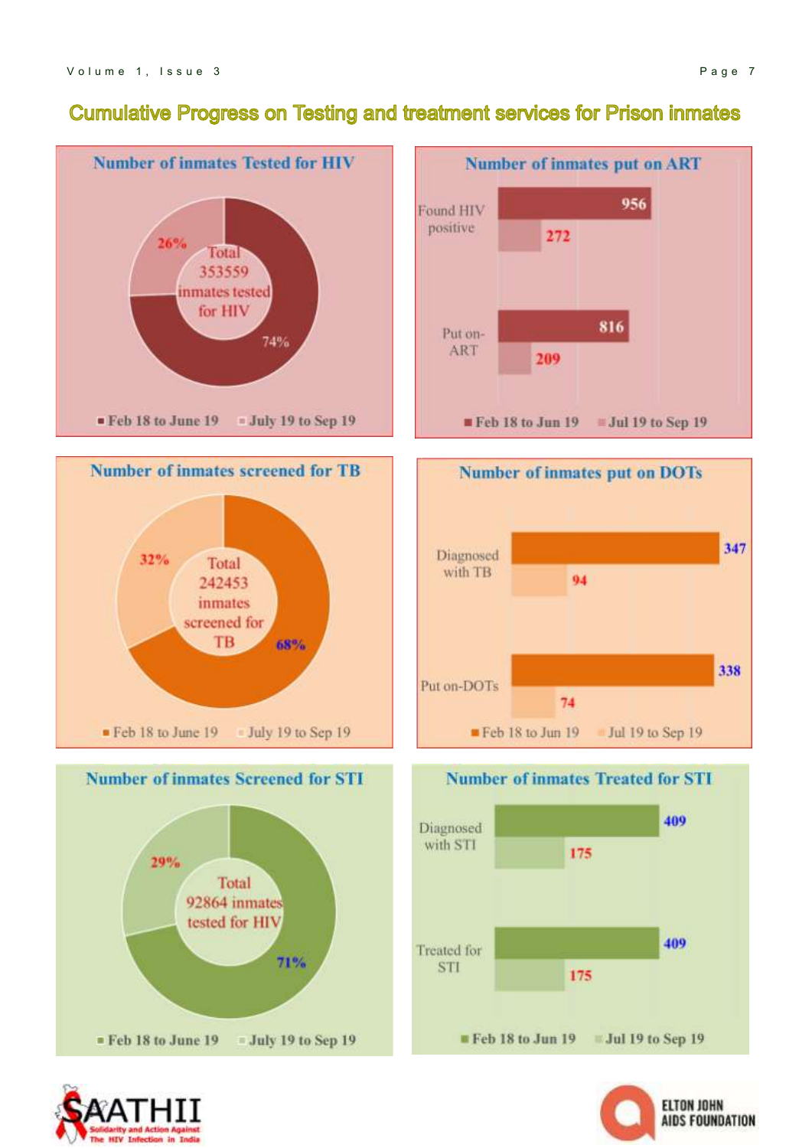#### **Cumulative Progress on Testing and treatment services for Prison inmates**





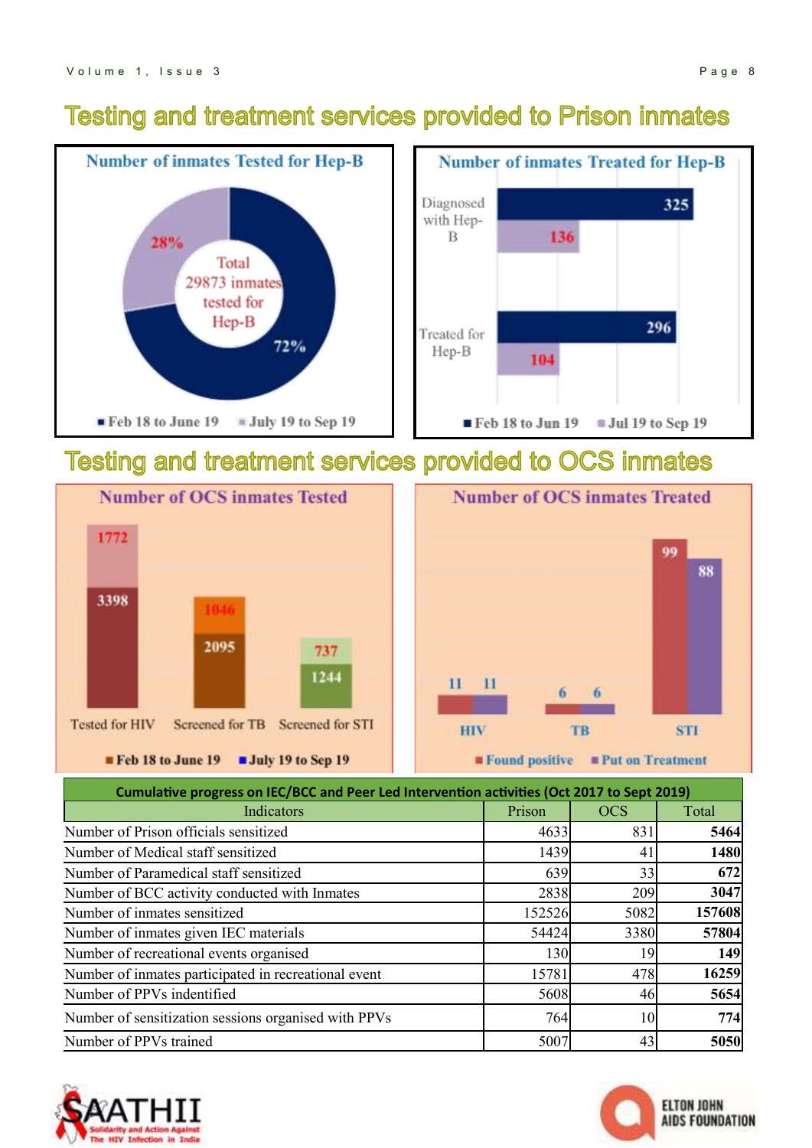### **Testing and treatment services provided to Prison inmates**



### Testing and treatment services provided to OCS inmates





| Cumulative progress on IEC/BCC and Peer Led Intervention activities (Oct 2017 to Sept 2019) |        |            |        |  |
|---------------------------------------------------------------------------------------------|--------|------------|--------|--|
| Indicators                                                                                  | Prison | <b>OCS</b> | Total  |  |
| Number of Prison officials sensitized                                                       | 4633   | 831        | 5464   |  |
| Number of Medical staff sensitized                                                          | 1439   | 41         | 1480   |  |
| Number of Paramedical staff sensitized                                                      | 639    | 33         | 672    |  |
| Number of BCC activity conducted with Inmates                                               | 2838   | 209        | 3047   |  |
| Number of inmates sensitized                                                                | 152526 | 5082       | 157608 |  |
| Number of inmates given IEC materials                                                       | 54424  | 3380       | 57804  |  |
| Number of recreational events organised                                                     | 130    | 19         | 149    |  |
| Number of inmates participated in recreational event                                        | 15781  | 478        | 16259  |  |
| Number of PPVs indentified                                                                  | 5608   | 46         | 5654   |  |
| Number of sensitization sessions organised with PPVs                                        | 764    | 10         | 774    |  |
| Number of PPVs trained                                                                      | 5007   | 43         | 5050   |  |



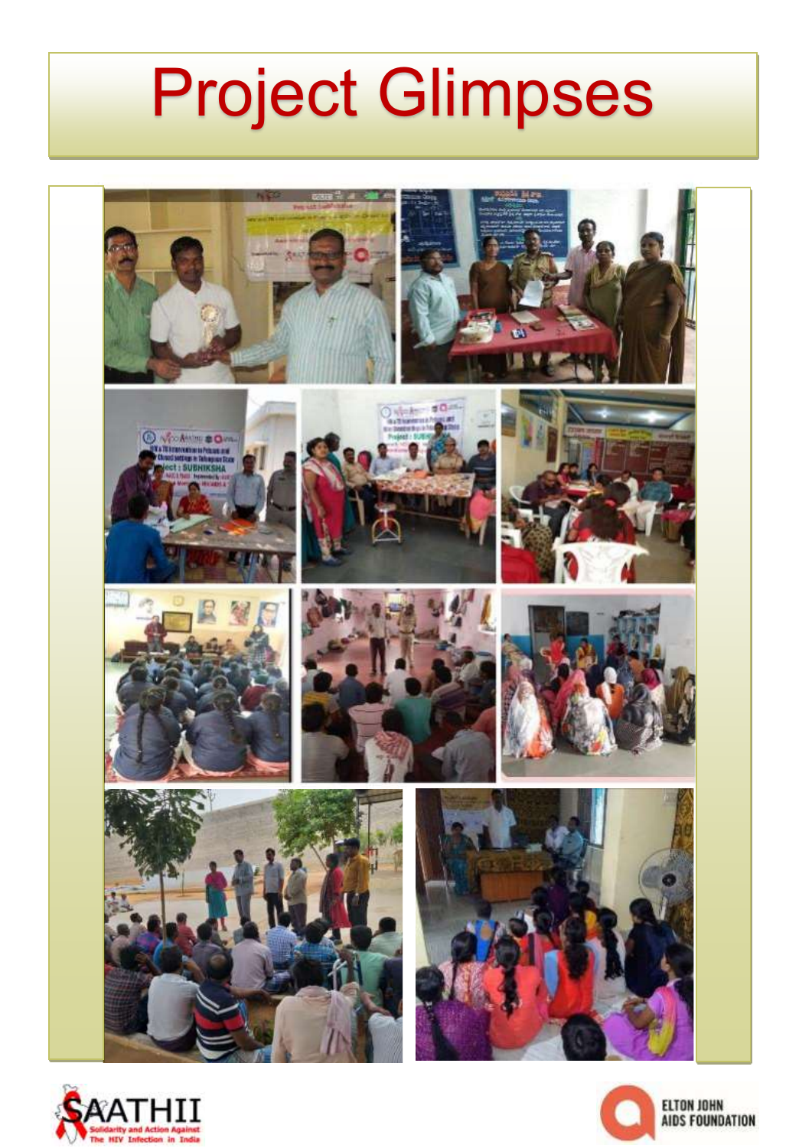# Project Glimpses